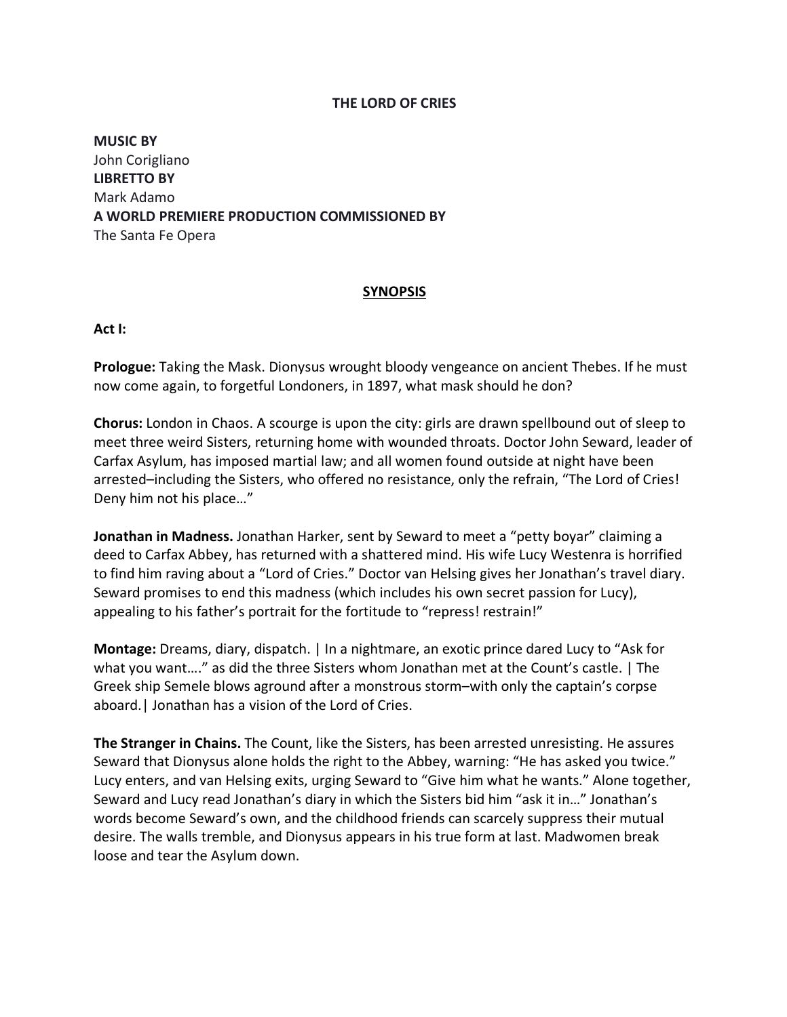## **THE LORD OF CRIES**

**MUSIC BY** John Corigliano **LIBRETTO BY** Mark Adamo **A WORLD PREMIERE PRODUCTION COMMISSIONED BY** The Santa Fe Opera

## **SYNOPSIS**

**Act I:**

**Prologue:** Taking the Mask. Dionysus wrought bloody vengeance on ancient Thebes. If he must now come again, to forgetful Londoners, in 1897, what mask should he don?

**Chorus:** London in Chaos. A scourge is upon the city: girls are drawn spellbound out of sleep to meet three weird Sisters, returning home with wounded throats. Doctor John Seward, leader of Carfax Asylum, has imposed martial law; and all women found outside at night have been arrested–including the Sisters, who offered no resistance, only the refrain, "The Lord of Cries! Deny him not his place…"

**Jonathan in Madness.** Jonathan Harker, sent by Seward to meet a "petty boyar" claiming a deed to Carfax Abbey, has returned with a shattered mind. His wife Lucy Westenra is horrified to find him raving about a "Lord of Cries." Doctor van Helsing gives her Jonathan's travel diary. Seward promises to end this madness (which includes his own secret passion for Lucy), appealing to his father's portrait for the fortitude to "repress! restrain!"

**Montage:** Dreams, diary, dispatch. | In a nightmare, an exotic prince dared Lucy to "Ask for what you want…." as did the three Sisters whom Jonathan met at the Count's castle. | The Greek ship Semele blows aground after a monstrous storm–with only the captain's corpse aboard.| Jonathan has a vision of the Lord of Cries.

**The Stranger in Chains.** The Count, like the Sisters, has been arrested unresisting. He assures Seward that Dionysus alone holds the right to the Abbey, warning: "He has asked you twice." Lucy enters, and van Helsing exits, urging Seward to "Give him what he wants." Alone together, Seward and Lucy read Jonathan's diary in which the Sisters bid him "ask it in…" Jonathan's words become Seward's own, and the childhood friends can scarcely suppress their mutual desire. The walls tremble, and Dionysus appears in his true form at last. Madwomen break loose and tear the Asylum down.